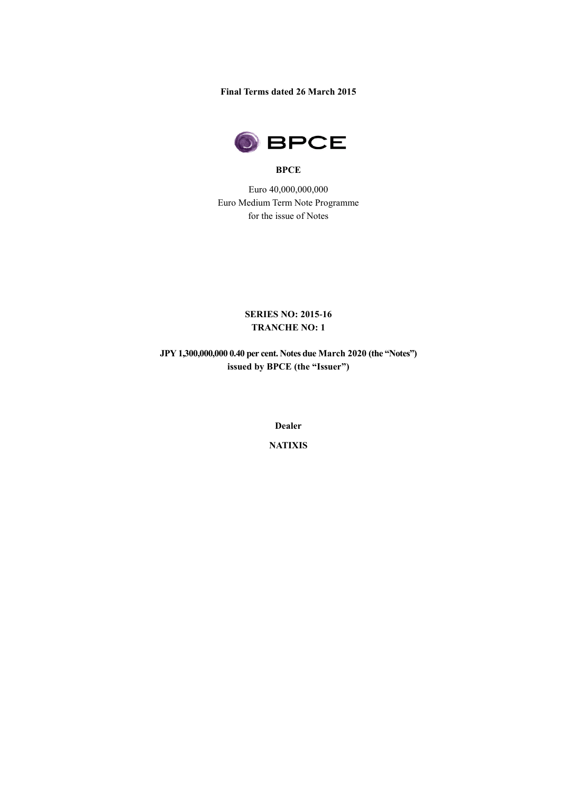**Final Terms dated 26 March 2015**



### **BPCE**

Euro 40,000,000,000 Euro Medium Term Note Programme for the issue of Notes

> **SERIES NO: 2015-16 TRANCHE NO: 1**

**JPY 1,300,000,000 0.40 per cent. Notes due March 2020 (the "Notes") issued by BPCE (the "Issuer")**

**Dealer**

**NATIXIS**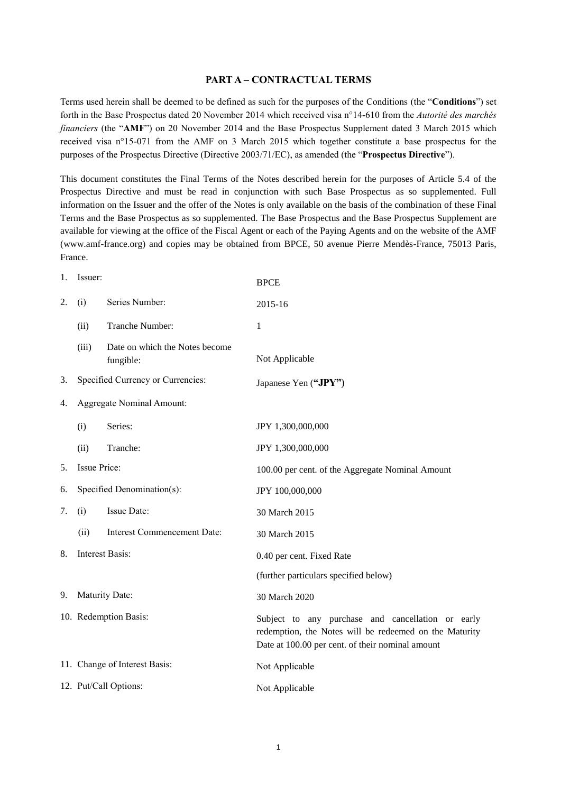#### **PART A – CONTRACTUAL TERMS**

Terms used herein shall be deemed to be defined as such for the purposes of the Conditions (the "**Conditions**") set forth in the Base Prospectus dated 20 November 2014 which received visa n°14-610 from the *Autorité des marchés financiers* (the "**AMF**") on 20 November 2014 and the Base Prospectus Supplement dated 3 March 2015 which received visa n°15-071 from the AMF on 3 March 2015 which together constitute a base prospectus for the purposes of the Prospectus Directive (Directive 2003/71/EC), as amended (the "**Prospectus Directive**").

This document constitutes the Final Terms of the Notes described herein for the purposes of Article 5.4 of the Prospectus Directive and must be read in conjunction with such Base Prospectus as so supplemented. Full information on the Issuer and the offer of the Notes is only available on the basis of the combination of these Final Terms and the Base Prospectus as so supplemented. The Base Prospectus and the Base Prospectus Supplement are available for viewing at the office of the Fiscal Agent or each of the Paying Agents and on the website of the AMF (www.amf-france.org) and copies may be obtained from BPCE, 50 avenue Pierre Mendès-France, 75013 Paris, France.

| 1. | Issuer:             |                                             | <b>BPCE</b>                                                                                                                                                     |
|----|---------------------|---------------------------------------------|-----------------------------------------------------------------------------------------------------------------------------------------------------------------|
| 2. | (i)                 | Series Number:                              | 2015-16                                                                                                                                                         |
|    | (ii)                | Tranche Number:                             | $\mathbf{1}$                                                                                                                                                    |
|    | (iii)               | Date on which the Notes become<br>fungible: | Not Applicable                                                                                                                                                  |
| 3. |                     | Specified Currency or Currencies:           | Japanese Yen ("JPY")                                                                                                                                            |
| 4. |                     | Aggregate Nominal Amount:                   |                                                                                                                                                                 |
|    | (i)                 | Series:                                     | JPY 1,300,000,000                                                                                                                                               |
|    | (ii)                | Tranche:                                    | JPY 1,300,000,000                                                                                                                                               |
| 5. | <b>Issue Price:</b> |                                             | 100.00 per cent. of the Aggregate Nominal Amount                                                                                                                |
| 6. |                     | Specified Denomination(s):                  | JPY 100,000,000                                                                                                                                                 |
| 7. | (i)                 | Issue Date:                                 | 30 March 2015                                                                                                                                                   |
|    | (ii)                | <b>Interest Commencement Date:</b>          | 30 March 2015                                                                                                                                                   |
| 8. |                     | <b>Interest Basis:</b>                      | 0.40 per cent. Fixed Rate                                                                                                                                       |
|    |                     |                                             | (further particulars specified below)                                                                                                                           |
| 9. |                     | Maturity Date:                              | 30 March 2020                                                                                                                                                   |
|    |                     | 10. Redemption Basis:                       | Subject to any purchase and cancellation or early<br>redemption, the Notes will be redeemed on the Maturity<br>Date at 100.00 per cent. of their nominal amount |
|    |                     | 11. Change of Interest Basis:               | Not Applicable                                                                                                                                                  |
|    |                     | 12. Put/Call Options:                       | Not Applicable                                                                                                                                                  |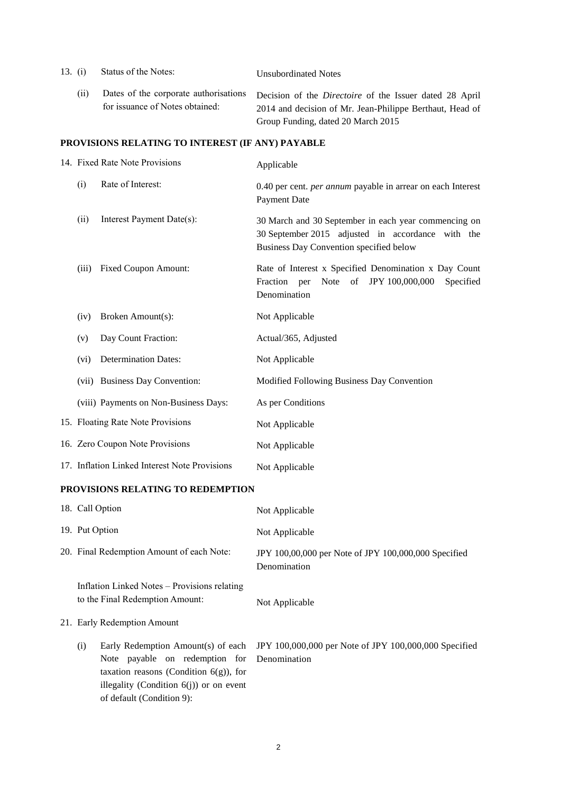| 13. (i) | Status of the Notes:                                                     | <b>Unsubordinated Notes</b>                                                                                                                                      |
|---------|--------------------------------------------------------------------------|------------------------------------------------------------------------------------------------------------------------------------------------------------------|
| (11)    | Dates of the corporate authorisations<br>for issuance of Notes obtained: | Decision of the <i>Directoire</i> of the Issuer dated 28 April<br>2014 and decision of Mr. Jean-Philippe Berthaut, Head of<br>Group Funding, dated 20 March 2015 |

# **PROVISIONS RELATING TO INTEREST (IF ANY) PAYABLE**

| 14. Fixed Rate Note Provisions |                                               | Applicable                                                                                                                                           |
|--------------------------------|-----------------------------------------------|------------------------------------------------------------------------------------------------------------------------------------------------------|
| (i)                            | Rate of Interest:                             | 0.40 per cent. <i>per annum</i> payable in arrear on each Interest<br><b>Payment Date</b>                                                            |
| (ii)                           | Interest Payment Date(s):                     | 30 March and 30 September in each year commencing on<br>30 September 2015 adjusted in accordance with the<br>Business Day Convention specified below |
| (iii)                          | <b>Fixed Coupon Amount:</b>                   | Rate of Interest x Specified Denomination x Day Count<br>Note of JPY 100,000,000<br>Fraction per<br>Specified<br>Denomination                        |
| (iv)                           | Broken Amount(s):                             | Not Applicable                                                                                                                                       |
| (v)                            | Day Count Fraction:                           | Actual/365, Adjusted                                                                                                                                 |
| (vi)                           | <b>Determination Dates:</b>                   | Not Applicable                                                                                                                                       |
|                                | (vii) Business Day Convention:                | Modified Following Business Day Convention                                                                                                           |
|                                | (viii) Payments on Non-Business Days:         | As per Conditions                                                                                                                                    |
|                                | 15. Floating Rate Note Provisions             | Not Applicable                                                                                                                                       |
|                                | 16. Zero Coupon Note Provisions               | Not Applicable                                                                                                                                       |
|                                | 17. Inflation Linked Interest Note Provisions | Not Applicable                                                                                                                                       |

### **PROVISIONS RELATING TO REDEMPTION**

|                | 18. Call Option                                                                                                                                                     | Not Applicable                                                                           |
|----------------|---------------------------------------------------------------------------------------------------------------------------------------------------------------------|------------------------------------------------------------------------------------------|
| 19. Put Option |                                                                                                                                                                     | Not Applicable                                                                           |
|                | 20. Final Redemption Amount of each Note:                                                                                                                           | JPY 100,00,000 per Note of JPY 100,000,000 Specified<br>Denomination                     |
|                | Inflation Linked Notes – Provisions relating<br>to the Final Redemption Amount:                                                                                     | Not Applicable                                                                           |
|                | 21. Early Redemption Amount                                                                                                                                         |                                                                                          |
| (i)            | Note payable on redemption for Denomination<br>taxation reasons (Condition $6(g)$ ), for<br>illegality (Condition $6(j)$ ) or on event<br>of default (Condition 9): | Early Redemption Amount(s) of each JPY 100,000,000 per Note of JPY 100,000,000 Specified |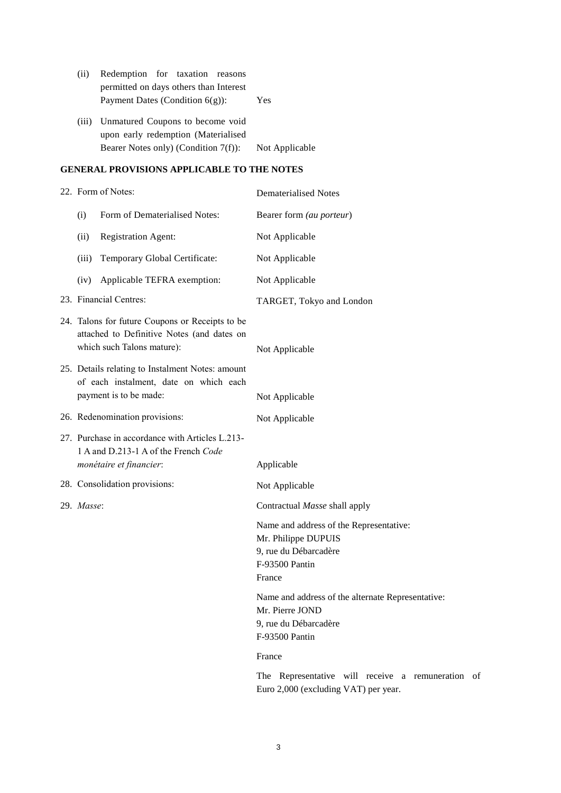| (ii)  | Redemption for taxation reasons                                         |                |  |
|-------|-------------------------------------------------------------------------|----------------|--|
|       | permitted on days others than Interest                                  |                |  |
|       | Payment Dates (Condition $6(g)$ ):<br>Yes                               |                |  |
| (iii) | Unmatured Coupons to become void<br>upon early redemption (Materialised |                |  |
|       | Bearer Notes only) (Condition $7(f)$ ):                                 | Not Applicable |  |

### **GENERAL PROVISIONS APPLICABLE TO THE NOTES**

| 22. Form of Notes:                                                                                                          |                                                                                                                      | <b>Dematerialised Notes</b>                                                                                                                          |  |  |
|-----------------------------------------------------------------------------------------------------------------------------|----------------------------------------------------------------------------------------------------------------------|------------------------------------------------------------------------------------------------------------------------------------------------------|--|--|
| (i)                                                                                                                         | Form of Dematerialised Notes:                                                                                        | Bearer form (au porteur)                                                                                                                             |  |  |
| (ii)                                                                                                                        | <b>Registration Agent:</b>                                                                                           | Not Applicable                                                                                                                                       |  |  |
| (iii)                                                                                                                       | Temporary Global Certificate:                                                                                        | Not Applicable                                                                                                                                       |  |  |
| (iv)                                                                                                                        | Applicable TEFRA exemption:                                                                                          | Not Applicable                                                                                                                                       |  |  |
|                                                                                                                             | 23. Financial Centres:                                                                                               | TARGET, Tokyo and London                                                                                                                             |  |  |
| 24. Talons for future Coupons or Receipts to be<br>attached to Definitive Notes (and dates on<br>which such Talons mature): |                                                                                                                      | Not Applicable                                                                                                                                       |  |  |
|                                                                                                                             | 25. Details relating to Instalment Notes: amount<br>of each instalment, date on which each<br>payment is to be made: | Not Applicable                                                                                                                                       |  |  |
|                                                                                                                             | 26. Redenomination provisions:                                                                                       | Not Applicable                                                                                                                                       |  |  |
|                                                                                                                             | 27. Purchase in accordance with Articles L.213-<br>1 A and D.213-1 A of the French Code<br>monétaire et financier:   | Applicable                                                                                                                                           |  |  |
|                                                                                                                             | 28. Consolidation provisions:                                                                                        |                                                                                                                                                      |  |  |
|                                                                                                                             |                                                                                                                      | Not Applicable                                                                                                                                       |  |  |
| 29. Masse:                                                                                                                  |                                                                                                                      | Contractual Masse shall apply<br>Name and address of the Representative:<br>Mr. Philippe DUPUIS<br>9, rue du Débarcadère<br>F-93500 Pantin<br>France |  |  |
|                                                                                                                             |                                                                                                                      | Name and address of the alternate Representative:<br>Mr. Pierre JOND<br>9, rue du Débarcadère<br>F-93500 Pantin<br>France                            |  |  |
|                                                                                                                             |                                                                                                                      |                                                                                                                                                      |  |  |

The Representative will receive a remuneration of Euro 2,000 (excluding VAT) per year.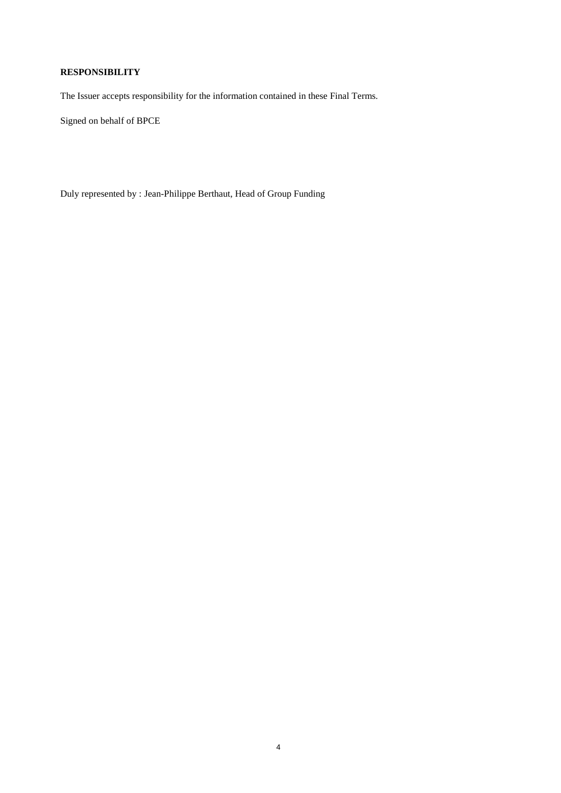## **RESPONSIBILITY**

The Issuer accepts responsibility for the information contained in these Final Terms.

Signed on behalf of BPCE

Duly represented by : Jean-Philippe Berthaut, Head of Group Funding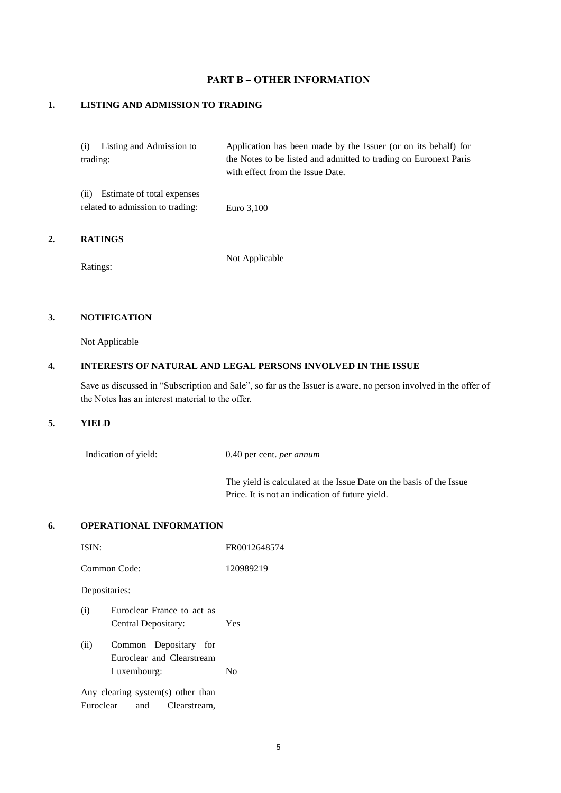## **PART B – OTHER INFORMATION**

### **1. LISTING AND ADMISSION TO TRADING**

|          | (i) Listing and Admission to     | Application has been made by the Issuer (or on its behalf) for   |
|----------|----------------------------------|------------------------------------------------------------------|
| trading: |                                  | the Notes to be listed and admitted to trading on Euronext Paris |
|          |                                  | with effect from the Issue Date.                                 |
|          | (ii) Estimate of total expenses  |                                                                  |
|          | related to admission to trading: | Euro 3,100                                                       |

### **2. RATINGS**

Ratings:

Not Applicable

### **3. NOTIFICATION**

Not Applicable

### **4. INTERESTS OF NATURAL AND LEGAL PERSONS INVOLVED IN THE ISSUE**

Save as discussed in "Subscription and Sale", so far as the Issuer is aware, no person involved in the offer of the Notes has an interest material to the offer.

#### **5. YIELD**

Indication of yield: 0.40 per cent. *per annum* The yield is calculated at the Issue Date on the basis of the Issue Price. It is not an indication of future yield.

#### **6. OPERATIONAL INFORMATION**

| ISIN:        | FR0012648574 |
|--------------|--------------|
| Common Code: | 120989219    |

Depositaries:

| (i) | Euroclear France to act as |     |
|-----|----------------------------|-----|
|     | Central Depositary:        | Yes |
|     |                            |     |

(ii) Common Depositary for Euroclear and Clearstream Luxembourg: No

Any clearing system(s) other than Euroclear and Clearstream,